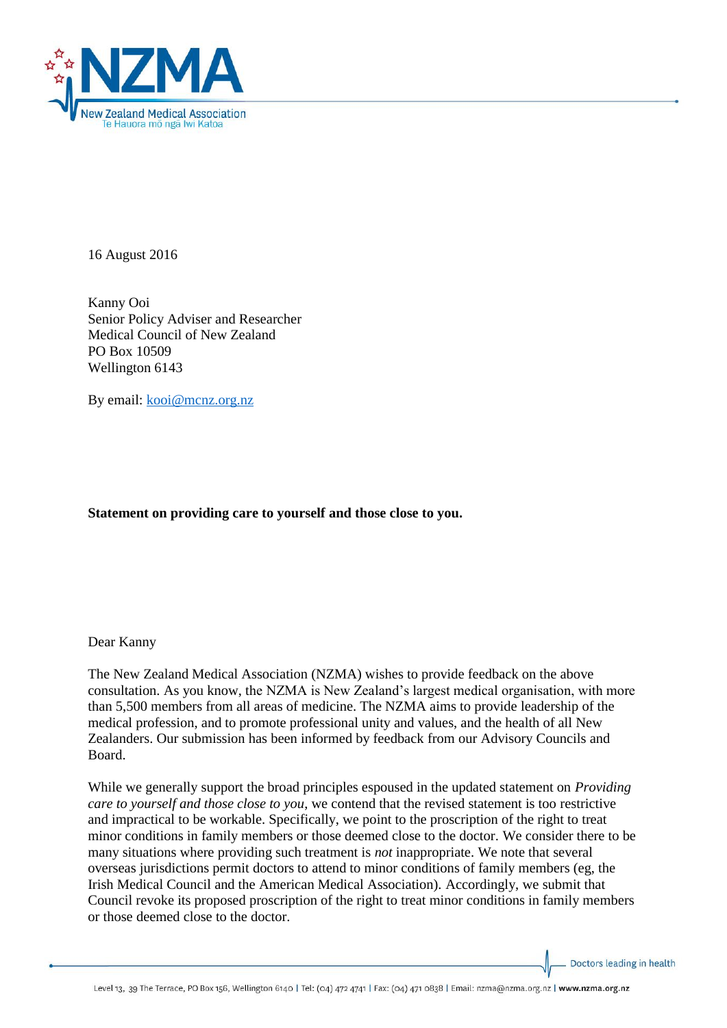

16 August 2016

Kanny Ooi Senior Policy Adviser and Researcher Medical Council of New Zealand PO Box 10509 Wellington 6143

By email: [kooi@mcnz.org.nz](mailto:kooi@mcnz.org.nz)

## **Statement on providing care to yourself and those close to you.**

Dear Kanny

The New Zealand Medical Association (NZMA) wishes to provide feedback on the above consultation. As you know, the NZMA is New Zealand's largest medical organisation, with more than 5,500 members from all areas of medicine. The NZMA aims to provide leadership of the medical profession, and to promote professional unity and values, and the health of all New Zealanders. Our submission has been informed by feedback from our Advisory Councils and Board.

While we generally support the broad principles espoused in the updated statement on *Providing care to yourself and those close to you*, we contend that the revised statement is too restrictive and impractical to be workable. Specifically, we point to the proscription of the right to treat minor conditions in family members or those deemed close to the doctor. We consider there to be many situations where providing such treatment is *not* inappropriate. We note that several overseas jurisdictions permit doctors to attend to minor conditions of family members (eg, the Irish Medical Council and the American Medical Association). Accordingly, we submit that Council revoke its proposed proscription of the right to treat minor conditions in family members or those deemed close to the doctor.

Doctors leading in health